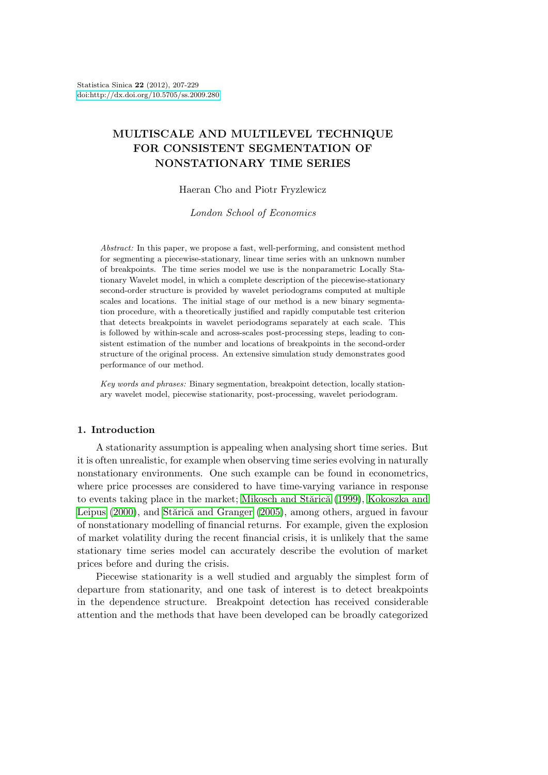# **[MULTISCALE AND](http://dx.doi.org/10.5705/ss.2009.280) MULTILEVEL TECHNIQUE FOR CONSISTENT SEGMENTATION OF NONSTATIONARY TIME SERIES**

Haeran Cho and Piotr Fryzlewicz

*London School of Economics*

*Abstract:* In this paper, we propose a fast, well-performing, and consistent method for segmenting a piecewise-stationary, linear time series with an unknown number of breakpoints. The time series model we use is the nonparametric Locally Stationary Wavelet model, in which a complete description of the piecewise-stationary second-order structure is provided by wavelet periodograms computed at multiple scales and locations. The initial stage of our method is a new binary segmentation procedure, with a theoretically justified and rapidly computable test criterion that detects breakpoints in wavelet periodograms separately at each scale. This is followed by within-scale and across-scales post-processing steps, leading to consistent estimation of the number and locations of breakpoints in the second-order structure of the original process. An extensive simulation study demonstrates good performance of our method.

*Key words and phrases:* Binary segmentation, breakpoint detection, locally stationary wavelet model, piecewise stationarity, post-processing, wavelet periodogram.

## **1. Introduction**

A stationarity assumption is appealing when analysing short time series. But it is often unrealistic, for example when observing time series evolving in naturally nonstationary environments. One such example can be found in econometrics, where price processes are considered to have time-varying variance in response to events taking place in the market; Mikosch and Stărică (1999), Kokoszka and Leipus (2000), and Stărică and Granger (2005), among others, argued in favour of nonstationary modelling of financial returns. For example, given the explosion of market volatility during the recent financial crisis, it is unlikely that the same stationary time series model can ac[curately describe the evolu](#page-22-0)t[ion of market](#page-21-0) [prices before](#page-21-0) and d[uring the crisis.](#page-22-0)

Piecewise stationarity is a well studied and arguably the simplest form of departure from stationarity, and one task of interest is to detect breakpoints in the dependence structure. Breakpoint detection has received considerable attention and the methods that have been developed can be broadly categorized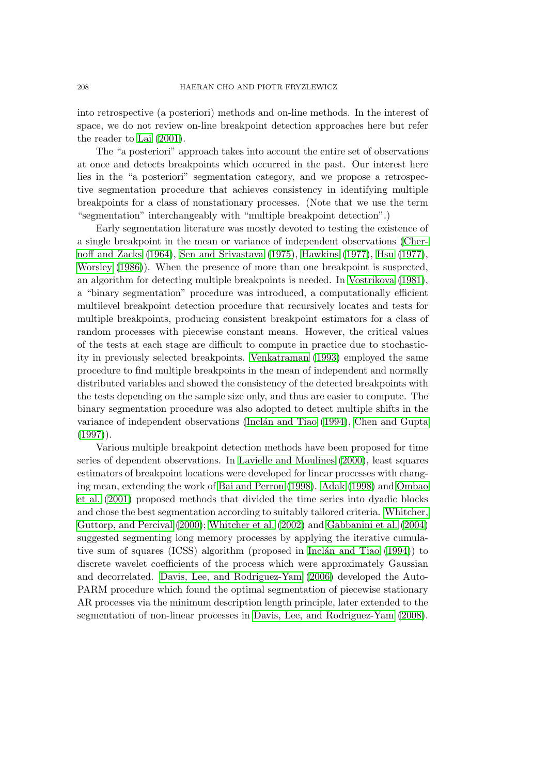into retrospective (a posteriori) methods and on-line methods. In the interest of space, we do not review on-line breakpoint detection approaches here but refer the reader to Lai (2001).

The "a posteriori" approach takes into account the entire set of observations at once and detects breakpoints which occurred in the past. Our interest here lies in the "a posteriori" segmentation category, and we propose a retrospective segment[ation proc](#page-21-0)edure that achieves consistency in identifying multiple breakpoints for a class of nonstationary processes. (Note that we use the term "segmentation" interchangeably with "multiple breakpoint detection".)

Early segmentation literature was mostly devoted to testing the existence of a single breakpoint in the mean or variance of independent observations (Chernoff and Zacks (1964), Sen and Srivastava (1975), Hawkins (1977), Hsu (1977), Worsley (1986)). When the presence of more than one breakpoint is suspected, an algorithm for detecting multiple breakpoints is needed. In Vostrikova (1981), a "binary segmentation" procedure was introduced, a computationally e[fficient](#page-21-0) [multilevel brea](#page-21-0)k[point](#page-21-0) [detection procedure](#page-22-0) t[hat r](#page-22-0)ec[ursively locates](#page-21-0) [and tests fo](#page-21-0)r [multiple](#page-22-0) [break](#page-22-0)points, producing consistent breakpoint estimators for a class of random processes with piecewise constant means. However, [the critical value](#page-22-0)s of the tests at each stage are difficult to compute in practice due to stochasticity in previously selected breakpoints. Venkatraman (1993) employed the same procedure to find multiple breakpoints in the mean of independent and normally distributed variables and showed the consistency of the detected breakpoints with the tests depending on the sample size only, and thus are easier to compute. The binary segmentation procedure was als[o adopted to detect m](#page-22-0)ultiple shifts in the variance of independent observations (Inclán and Tiao (1994), Chen and Gupta  $(1997)$ .

Various multiple breakpoint detection methods have been proposed for time series of dependent observations. In Lavielle and Moulines (2000), least squares estimators of breakpoint locations wer[e developed for linear processes with chang](#page-21-0)i[ng me](#page-21-0)an, extending the work of Bai and Perron (1998). Adak (1998) and Ombao et al. (2001) proposed methods that divided the time series into dyadic blocks and chose the best segmentation acco[rding to suitably tailored crite](#page-22-0)ria. Whitcher, Guttorp, and Percival (2000); Whitcher et al. (2002) and Gabbanini et al. (2004) suggested segmenting long me[mory processes by appl](#page-21-0)y[ing the itera](#page-21-0)tive [cumula](#page-22-0)[tive sum of](#page-22-0) squares (ICSS) algorithm (proposed in Inclán and Tiao  $(1994)$ ) to discrete wavelet coefficients of the process which were approximatel[y Gaussian](#page-22-0) [and decorrelated.](#page-22-0) Dav[is, Le](#page-22-0)e[, and Rodriguez-Yam](#page-22-0) (200[6\) developed the Auto-](#page-21-0)PARM procedure which found the optimal segmentation of piecewise stationary AR processes via the minimum description length pri[nciple, later extended to](#page-21-0) the segmentation of n[on-linear processes in](#page-21-0) Davis, Lee, [and R](#page-21-0)odriguez-Yam (2008).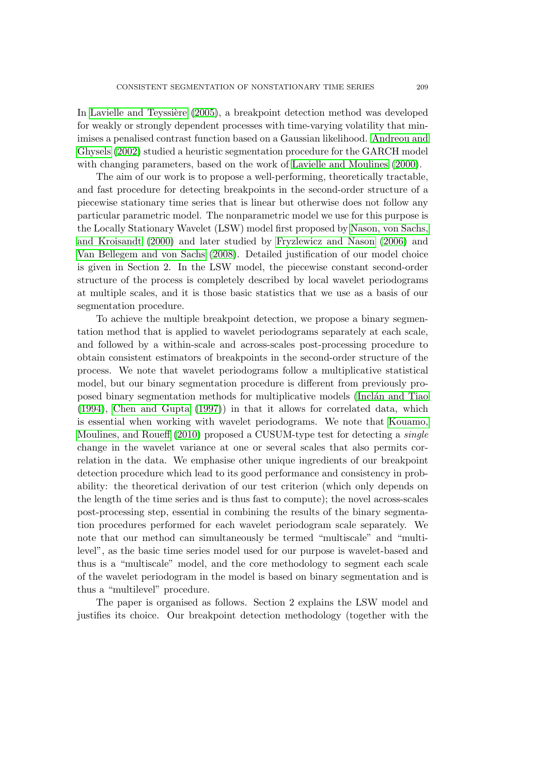In Lavielle and Teyssière (2005), a breakpoint detection method was developed for weakly or strongly dependent processes with time-varying volatility that minimises a penalised contrast function based on a Gaussian likelihood. Andreou and Ghysels (2002) studied a heuristic segmentation procedure for the GARCH model wi[th changing parameters, base](#page-22-0)d on the work of Lavielle and Moulines (2000).

The aim of our work is to propose a well-performing, theoretically tractable, and fast procedure for detecting breakpoints in the second-order [structure of a](#page-21-0) [piecewise stati](#page-21-0)onary time series that is linear but otherwise does not follow any particular parametric model. The nonparametric [model we use for this purpose](#page-22-0) is the Locally Stationary Wavelet (LSW) model first proposed by Nason, von Sachs, and Kroisandt (2000) and later studied by Fryzlewicz and Nason (2006) and Van Bellegem and von Sachs (2008). Detailed justification of our model choice is given in Section 2. In the LSW model, the piecewise constant second-order structure of the process is completely described by local wav[elet periodograms](#page-22-0) [at multiple sca](#page-22-0)l[es, an](#page-22-0)d it is t[hose b](#page-22-0)asic stat[istics that we use as a](#page-21-0) b[asis o](#page-21-0)f our [segmentation procedure.](#page-22-0)

To achieve the multiple breakpoint detection, we propose a binary segmentation method that is applied to wavelet periodograms separately at each scale, and followed by a within-scale and across-scales post-processing procedure to obtain consistent estimators of breakpoints in the second-order structure of the process. We note that wavelet periodograms follow a multiplicative statistical model, but our binary segmentation procedure is different from previously proposed binary segmentation methods for multiplicative models (Inclan and Tiao (1994), Chen and Gupta (1997)) in that it allows for correlated data, which is essential when working with wavelet periodograms. We note that Kouamo, Moulines, and Roueff (2010) proposed a CUSUM-type test for detecting a *single* change in the wavelet variance at one or several scales that [also permits cor](#page-21-0)[relatio](#page-21-0)n [in the data. We](#page-21-0) e[mpha](#page-21-0)sise other unique ingredients of our breakpoint detection procedure which lead to its good performance and consistenc[y in prob](#page-21-0)[ability: the theoretical deri](#page-21-0)vation of our test criterion (which only depends on the length of the time series and is thus fast to compute); the novel across-scales post-processing step, essential in combining the results of the binary segmentation procedures performed for each wavelet periodogram scale separately. We note that our method can simultaneously be termed "multiscale" and "multilevel", as the basic time series model used for our purpose is wavelet-based and thus is a "multiscale" model, and the core methodology to segment each scale of the wavelet periodogram in the model is based on binary segmentation and is thus a "multilevel" procedure.

The paper is organised as follows. Section 2 explains the LSW model and justifies its choice. Our breakpoint detection methodology (together with the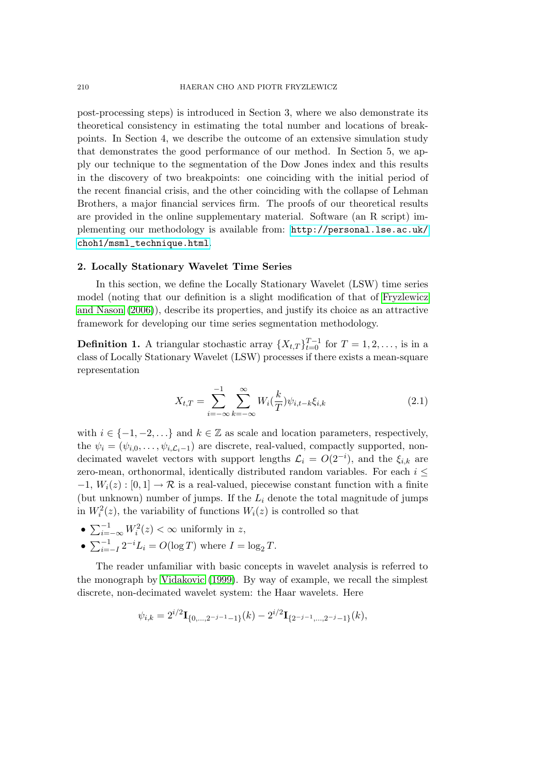<span id="page-3-0"></span>post-processing steps) is introduced in Section 3, where we also demonstrate its theoretical consistency in estimating the total number and locations of breakpoints. In Section 4, we describe the outcome of an extensive simulation study that demonstrates the good performance of our method. In Section 5, we apply our technique to the segmentation of the Dow Jones index and this results in the discovery of two breakpoints: one coinciding with the initial period of the recent financial crisis, and the other coinciding with the collapse of Lehman Brothers, a major financial services firm. The proofs of our theoretical results are provided in the online supplementary material. Software (an R script) implementing our methodology is available from: http://personal.lse.ac.uk/ choh1/msml\_technique.html.

#### **2. Locally Stationary Wavelet Time Series**

[In this section, we define t](http://personal.lse.ac.uk/choh1/msml_technique.html)he Locally Statio[nary Wavelet \(LSW\) time series](http://personal.lse.ac.uk/choh1/msml_technique.html) model (noting that our definition is a slight modification of that of Fryzlewicz and Nason (2006)), describe its properties, and justify its choice as an attractive framework for developing our time series segmentation methodology.

**Definition 1.** A triangular stochastic array  $\{X_{t,T}\}_{t=0}^{T-1}$  for  $T=1,2,\ldots$ , [is in a](#page-21-0) [class of Locally St](#page-21-0)ationary Wavelet (LSW) processes if there exists a mean-square representation

$$
X_{t,T} = \sum_{i=-\infty}^{-1} \sum_{k=-\infty}^{\infty} W_i(\frac{k}{T}) \psi_{i,t-k} \xi_{i,k}
$$
 (2.1)

with  $i \in \{-1, -2, \ldots\}$  and  $k \in \mathbb{Z}$  as scale and location parameters, respectively, the  $\psi_i = (\psi_{i,0}, \ldots, \psi_{i,\mathcal{L}_i-1})$  are discrete, real-valued, compactly supported, nondecimated wavelet vectors with support lengths  $\mathcal{L}_i = O(2^{-i})$ , and the  $\xi_{i,k}$  are zero-mean, orthonormal, identically distributed random variables. For each *i ≤*  $-1$ ,  $W_i(z): [0,1] \to \mathcal{R}$  is a real-valued, piecewise constant function with a finite (but unknown) number of jumps. If the *L<sup>i</sup>* denote the total magnitude of jumps in  $W_i^2(z)$ , the variability of functions  $W_i(z)$  is controlled so that

- $\sum_{i=-\infty}^{-1} W_i^2(z) < \infty$  uniformly in *z*,
- $\sum_{i=-I}^{-1} 2^{-i} L_i = O(\log T)$  where  $I = \log_2 T$ .

The reader unfamiliar with basic concepts in wavelet analysis is referred to the monograph by Vidakovic (1999). By way of example, we recall the simplest discrete, non-decimated wavelet system: the Haar wavelets. Here

$$
\psi_{i,k} = 2^{i/2} \mathbf{I}_{\{0,\dots,2^{-j-1}-1\}}(k) - 2^{i/2} \mathbf{I}_{\{2^{-j-1},\dots,2^{-j}-1\}}(k),
$$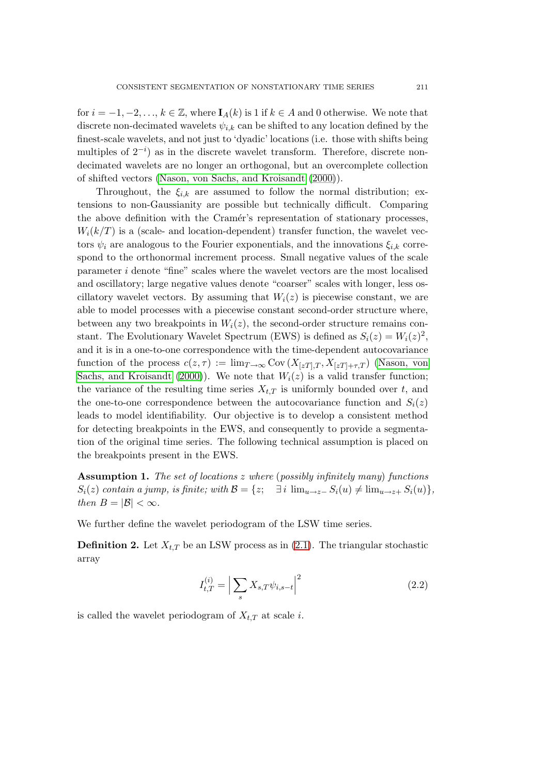for  $i = -1, -2, \ldots, k \in \mathbb{Z}$ , where  $I_A(k)$  is 1 if  $k \in A$  and 0 otherwise. We note that discrete non-decimated wavelets  $\psi_{i,k}$  can be shifted to any location defined by the finest-scale wavelets, and not just to 'dyadic' locations (i.e. those with shifts being multiples of  $2^{-i}$ ) as in the discrete wavelet transform. Therefore, discrete nondecimated wavelets are no longer an orthogonal, but an overcomplete collection of shifted vectors (Nason, von Sachs, and Kroisandt (2000)).

Throughout, the  $\xi_{i,k}$  are assumed to follow the normal distribution; extensions to non-Gaussianity are possible but technically difficult. Comparing the above definition with the Cramér's representati[on of](#page-22-0) stationary processes,  $W_i(k/T)$  is a (scal[e- and location-dependent\) transfe](#page-22-0)r function, the wavelet vectors  $\psi_i$  are analogous to the Fourier exponentials, and the innovations  $\xi_{i,k}$  correspond to the orthonormal increment process. Small negative values of the scale parameter *i* denote "fine" scales where the wavelet vectors are the most localised and oscillatory; large negative values denote "coarser" scales with longer, less oscillatory wavelet vectors. By assuming that  $W_i(z)$  is piecewise constant, we are able to model processes with a piecewise constant second-order structure where, between any two breakpoints in  $W_i(z)$ , the second-order structure remains constant. The Evolutionary Wavelet Spectrum (EWS) is defined as  $S_i(z) = W_i(z)^2$ , and it is in a one-to-one correspondence with the time-dependent autocovariance function of the process  $c(z, \tau) := \lim_{T \to \infty} \text{Cov}(X_{[zT],T}, X_{[zT]+\tau,T})$  (Nason, von Sachs, and Kroisandt (2000)). We note that  $W_i(z)$  is a valid transfer function; the variance of the resulting time series  $X_{t,T}$  is uniformly bounded over  $t$ , and the one-to-one correspondence between the autocovariance function and  $S_i(z)$ leads to model identifi[ability](#page-22-0). Our objective is to develop a consist[ent method](#page-22-0) [for detecting breakpoi](#page-22-0)nts in the EWS, and consequently to provide a segmentation of the original time series. The following technical assumption is placed on the breakpoints present in the EWS.

**Assumption 1.** *The set of locations z where* (*possibly infinitely many*) *functions*  $S_i(z)$  contain a jump, is finite; with  $\mathcal{B} = \{z; \quad \exists i \lim_{u \to z^-} S_i(u) \neq \lim_{u \to z^+} S_i(u)\},\$ *then*  $B = |\mathcal{B}| < \infty$ *.* 

We further define the wavelet periodogram of the LSW time series.

**Definition 2.** Let  $X_{t,T}$  be an LSW process as in (2.1). The triangular stochastic array

$$
I_{t,T}^{(i)} = \left| \sum_{s} X_{s,T} \psi_{i,s-t} \right|^2 \tag{2.2}
$$

is called the wavelet periodogram of  $X_{t,T}$  at scale *i*.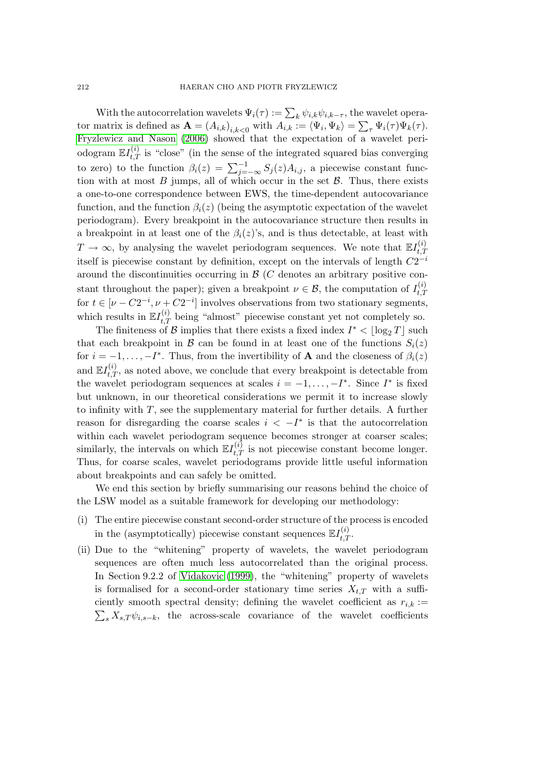With the autocorrelation wavelets  $\Psi_i(\tau) := \sum_k \psi_{i,k} \psi_{i,k-\tau}$ , the wavelet operator matrix is defined as  $\mathbf{A} = (A_{i,k})_{i,k < 0}$  with  $A_{i,k} := \langle \Psi_i, \Psi_k \rangle = \sum_{\tau} \Psi_i(\tau) \Psi_k(\tau)$ . Fryzlewicz and Nason (2006) showed that the expectation of a wavelet periodogram  $\mathbb{E}I_{t,T}^{(i)}$  is "close" (in the sense of the integrated squared bias converging to zero) to the function  $\beta_i(z) = \sum_{j=-\infty}^{-1} S_j(z) A_{i,j}$ , a piecewise constant func[tion with at most](#page-21-0) *B* ju[mps, a](#page-21-0)ll of which occur in the set *B*. Thus, there exists a one-to-one correspondence between EWS, the time-dependent autocovariance function, and the function  $\beta_i(z)$  (being the asymptotic expectation of the wavelet periodogram). Every breakpoint in the autocovariance structure then results in a breakpoint in at least one of the  $\beta_i(z)$ 's, and is thus detectable, at least with  $T \to \infty$ , by analysing the wavelet periodogram sequences. We note that  $\mathbb{E} I_{t,T}^{(i)}$ *t,T* itself is piecewise constant by definition, except on the intervals of length *C*2 *−i* around the discontinuities occurring in *B* (*C* denotes an arbitrary positive constant throughout the paper); given a breakpoint  $\nu \in \mathcal{B}$ , the computation of  $I_{t,T}^{(i)}$ *t,T* for  $t \in [\nu - C2^{-i}, \nu + C2^{-i}]$  involves observations from two stationary segments, which results in  $\mathbb{E}I_{t,T}^{(i)}$  being "almost" piecewise constant yet not completely so.

The finiteness of *B* implies that there exists a fixed index  $I^* < \lfloor \log_2 T \rfloor$  such that each breakpoint in *B* can be found in at least one of the functions  $S_i(z)$ for  $i = -1, \ldots, -I^*$ . Thus, from the invertibility of **A** and the closeness of  $\beta_i(z)$ and  $\mathbb{E}I_{t,T}^{(i)}$ , as noted above, we conclude that every breakpoint is detectable from the wavelet periodogram sequences at scales  $i = -1, \ldots, -I^*$ . Since  $I^*$  is fixed but unknown, in our theoretical considerations we permit it to increase slowly to infinity with *T*, see the supplementary material for further details. A further reason for disregarding the coarse scales  $i < -I^*$  is that the autocorrelation within each wavelet periodogram sequence becomes stronger at coarser scales; similarly, the intervals on which  $\mathbb{E}I_{t,T}^{(i)}$  is not piecewise constant become longer. Thus, for coarse scales, wavelet periodograms provide little useful information about breakpoints and can safely be omitted.

We end this section by briefly summarising our reasons behind the choice of the LSW model as a suitable framework for developing our methodology:

- (i) The entire piecewise constant second-order structure of the process is encoded in the (asymptotically) piecewise constant sequences  $\mathbb{E} I_{t,T}^{(i)}$ .
- (ii) Due to the "whitening" property of wavelets, the wavelet periodogram sequences are often much less autocorrelated than the original process. In Section 9.2.2 of Vidakovic (1999), the "whitening" property of wavelets is formalised for a second-order stationary time series  $X_{t,T}$  with a sufficiently smooth spectral density; defining the wavelet coefficient as  $r_{i,k}$  :=  $\sum_{s} X_{s,T} \psi_{i,s-k}$ , th[e across-scale c](#page-22-0)ovariance of the wavelet coefficients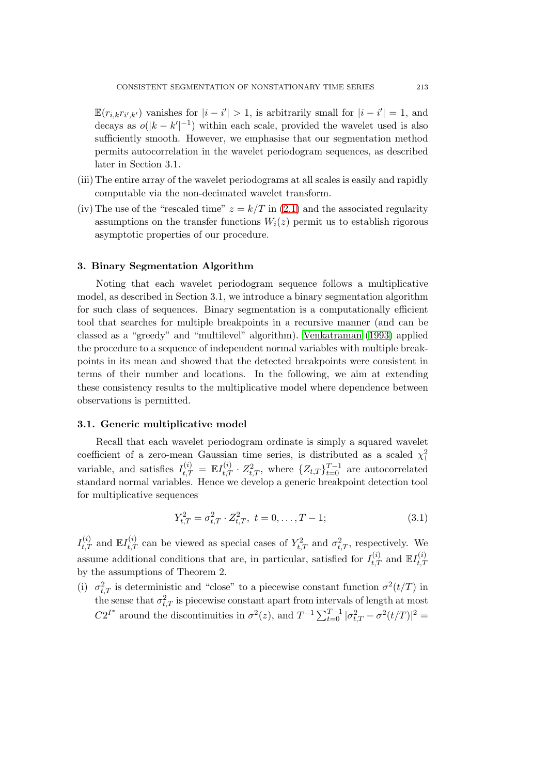<span id="page-6-0"></span> $\mathbb{E}(r_{i,k}r_{i',k'})$  vanishes for  $|i-i'|>1$ , is arbitrarily small for  $|i-i'|=1$ , and decays as  $o(|k - k'|^{-1})$  within each scale, provided the wavelet used is also sufficiently smooth. However, we emphasise that our segmentation method permits autocorrelation in the wavelet periodogram sequences, as described later in Section 3.1.

- (iii) The entire array of the wavelet periodograms at all scales is easily and rapidly computable via the non-decimated wavelet transform.
- (iv) The use of the "rescaled time"  $z = k/T$  in (2.1) and the associated regularity assumptions on the transfer functions  $W_i(z)$  permit us to establish rigorous asymptotic properties of our procedure.

## **3. Binary Segmentation Algorithm**

Noting that each wavelet periodogram sequence follows a multiplicative model, as described in Section 3.1, we introduce a binary segmentation algorithm for such class of sequences. Binary segmentation is a computationally efficient tool that searches for multiple breakpoints in a recursive manner (and can be classed as a "greedy" and "multilevel" algorithm). Venkatraman (1993) applied the procedure to a sequence of independent normal variables with multiple breakpoints in its mean and showed that the detected breakpoints were consistent in terms of their number and locations. In the following, we aim at extending these consistency results to the multiplicative mod[el where dependence](#page-22-0) between observations is permitted.

## **3.1. Generic multiplicative model**

Recall that each wavelet periodogram ordinate is simply a squared wavelet coefficient of a zero-mean Gaussian time series, is distributed as a scaled  $\chi_1^2$ variable, and satisfies  $I_{t,T}^{(i)} = \mathbb{E}I_{t,T}^{(i)} \cdot Z_{t,T}^2$ , where  $\{Z_{t,T}\}_{t=0}^{T-1}$  are autocorrelated standard normal variables. Hence we develop a generic breakpoint detection tool for multiplicative sequences

$$
Y_{t,T}^2 = \sigma_{t,T}^2 \cdot Z_{t,T}^2, \ t = 0, \dots, T - 1; \tag{3.1}
$$

 $I_{t,T}^{(i)}$  and  $\mathbb{E}I_{t,T}^{(i)}$  can be viewed as special cases of  $Y_{t,T}^2$  and  $\sigma_{t,T}^2$ , respectively. We assume additional conditions that are, in particular, satisfied for  $I_{t,T}^{(i)}$  and  $\mathbb{E}I_{t,T}^{(i)}$ *t,T* by the assumptions of Theorem 2.

(i)  $\sigma_{t,T}^2$  is deterministic and "close" to a piecewise constant function  $\sigma^2(t/T)$  in the sense that  $\sigma_{t,T}^2$  is piecewise constant apart from intervals of length at most *C*2<sup>*I*\*</sup> around the discontinuities in  $\sigma^2(z)$ , and  $T^{-1} \sum_{t=0}^{T-1} |\sigma_{t,T}^2 - \sigma^2(t/T)|^2$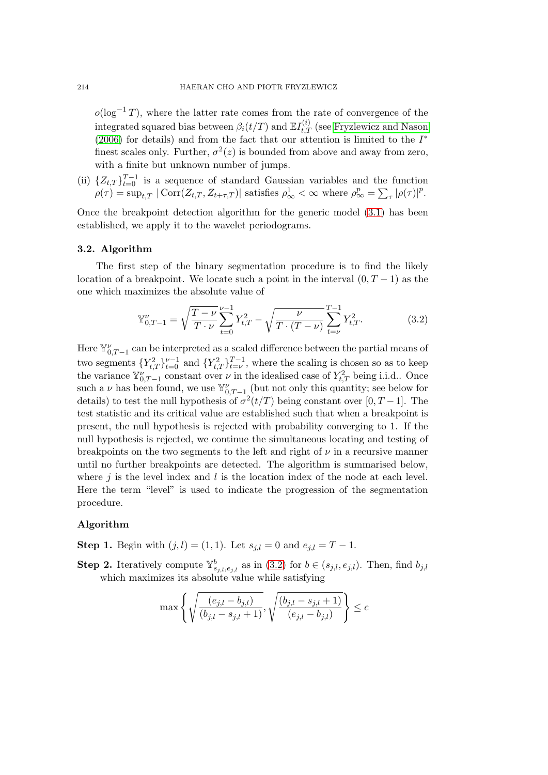$o(\log^{-1} T)$ , where the latter rate comes from the rate of convergence of the integrated squared bias between  $\beta_i(t/T)$  and  $\mathbb{E}I_{t,T}^{(i)}$  (see Fryzlewicz and Nason (2006) for details) and from the fact that our attention is limited to the *I ∗* finest scales only. Further,  $\sigma^2(z)$  is bounded from above and away from zero, with a finite but unknown number of jumps.

(ii)  $\{Z_{t,T}\}_{t=0}^{T-1}$  $\{Z_{t,T}\}_{t=0}^{T-1}$  $\{Z_{t,T}\}_{t=0}^{T-1}$  is a sequence of standard Gaussian varia[bles and the function](#page-21-0)  $\rho(\tau) = \sup_{t,T} |\text{Corr}(Z_{t,T}, Z_{t+\tau,T})|$  satisfies  $\rho^1_{\infty} < \infty$  where  $\rho^p_{\infty} = \sum_{\tau} |\rho(\tau)|^p$ .

Once the breakpoint detection algorithm for the generic model (3.1) has been established, we apply it to the wavelet periodograms.

## **3.2. Algorithm**

The first step of the binary segmentation procedure is to [find](#page-6-0) the likely location of a breakpoint. We locate such a point in the interval  $(0, T - 1)$  as the one which maximizes the absolute value of

$$
\mathbb{Y}_{0,T-1}^{\nu} = \sqrt{\frac{T-\nu}{T\cdot\nu}} \sum_{t=0}^{\nu-1} Y_{t,T}^2 - \sqrt{\frac{\nu}{T\cdot(T-\nu)}} \sum_{t=\nu}^{T-1} Y_{t,T}^2.
$$
 (3.2)

Here  $\mathbb{Y}_{0,T-1}^{\nu}$  can be interpreted as a scaled difference between the partial means of two segments  ${Y_{t,T}^2}_{t=0}^{y-1}$  and  ${Y_{t,T}^2}_{t=\nu}^{T-1}$ , where the scaling is chosen so as to keep the variance  $\mathbb{Y}_{0,T-1}^{\nu}$  constant over  $\nu$  in the idealised case of  $Y_{t,T}^2$  being i.i.d.. Once such a *ν* has been found, we use  $\mathbb{Y}_{0,T-1}^{\nu}$  (but not only this quantity; see below for details) to test the null hypothesis of  $\sigma^2(t/T)$  being constant over [0, T – 1]. The test statistic and its critical value are established such that when a breakpoint is present, the null hypothesis is rejected with probability converging to 1. If the null hypothesis is rejected, we continue the simultaneous locating and testing of breakpoints on the two segments to the left and right of  $\nu$  in a recursive manner until no further breakpoints are detected. The algorithm is summarised below, where *j* is the level index and *l* is the location index of the node at each level. Here the term "level" is used to indicate the progression of the segmentation procedure.

## **Algorithm**

**Step 1.** Begin with  $(j, l) = (1, 1)$ . Let  $s_{i,l} = 0$  and  $e_{i,l} = T - 1$ .

**Step 2.** Iteratively compute  $\mathbb{Y}_{s_{j,l},e_{j,l}}^b$  as in (3.2) for  $b \in (s_{j,l},e_{j,l})$ . Then, find  $b_{j,l}$ which maximizes its absolute value while satisfying

$$
\max\left\{\sqrt{\frac{(e_{j,l}-b_{j,l})}{(b_{j,l}-s_{j,l}+1)}},\sqrt{\frac{(b_{j,l}-s_{j,l}+1)}{(e_{j,l}-b_{j,l})}}\right\}\leq c
$$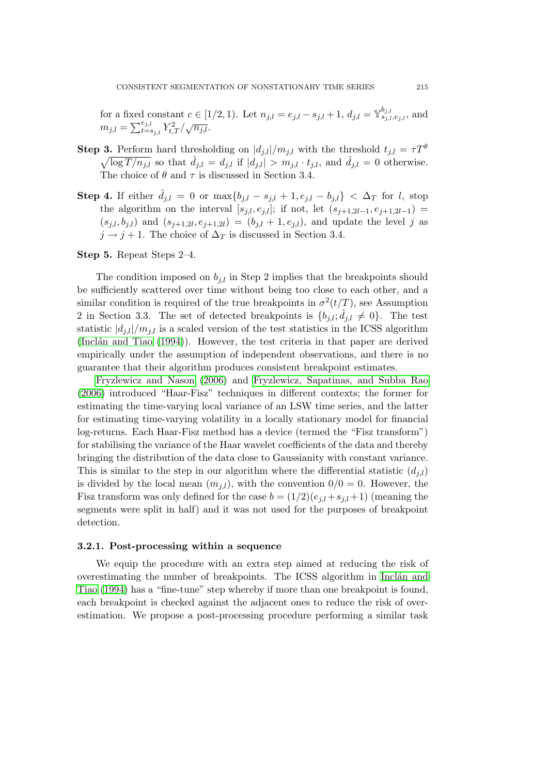for a fixed constant  $c \in [1/2, 1)$ . Let  $n_{j,l} = e_{j,l} - s_{j,l} + 1$ ,  $d_{j,l} = \mathbb{Y}_{s_{j,l}, e_{j,l}}^{b_{j,l}}$ , and  $m_{j,l} = \sum_{t=s_{j,l}}^{e_{j,l}} Y_{t,T}^2 / \sqrt{n_{j,l}}.$ 

- **Step 3.** Perform hard thresholding on  $|d_{j,l}|/m_{j,l}$  with the threshold  $t_{j,l} = \tau T^{\theta}$  $\sqrt{\log T / n_{j,l}}$  so that  $\hat{d}_{j,l} = d_{j,l}$  if  $|d_{j,l}| > m_{j,l} \cdot t_{j,l}$ , and  $\hat{d}_{j,l} = 0$  otherwise. The choice of  $\theta$  and  $\tau$  is discussed in Section 3.4.
- **Step 4.** If either  $\hat{d}_{j,l} = 0$  or  $\max\{b_{j,l} s_{j,l} + 1, e_{j,l} b_{j,l}\} < \Delta_T$  for *l*, stop the algorithm on the interval  $[s_{j,l}, e_{j,l}]$ ; if not, let  $(s_{j+1,2l-1}, e_{j+1,2l-1})$  =  $(s_{j,l}, b_{j,l})$  and  $(s_{j+1,2l}, e_{j+1,2l}) = (b_{j,l} + 1, e_{j,l})$ , and update the level *j* as  $j \rightarrow j+1$ . The choice of  $\Delta_T$  is discussed in Section 3.4.

## **Step 5.** Repeat Steps 2–4.

The condition imposed on  $b_{j,l}$  in Step 2 implies that the breakpoints should be sufficiently scattered over time without being too close to each other, and a similar condition is required of the true breakpoints in  $\sigma^2(t/T)$ , see Assumption 2 in Section 3.3. The set of detected breakpoints is  $\{b_{j,l}; \hat{d}_{j,l} \neq 0\}$ . The test statistic  $|d_{j,l}|/m_{j,l}$  is a scaled version of the test statistics in the ICSS algorithm (Inclán and Tiao (1994)). However, the test criteria in that paper are derived empirically under the assumption of independent observations, and there is no guarantee that their algorithm produces consistent breakpoint estimates.

Fryzlewicz and Nason (2006) and Fryzlewicz, Sapatinas, and Subba Rao [\(2006\) introduced "Haa](#page-21-0)r-Fisz" techniques in different contexts; the former for estimating the time-varying local variance of an LSW time series, and the latter for estimating time-varying volatility in a locally stationary model for financial log-[returns. Each Haar-Fisz meth](#page-21-0)od ha[s a device \(termed the "Fisz transform"\)](#page-21-0) [for sta](#page-21-0)bilising the variance of the Haar wavelet coefficients of the data and thereby bringing the distribution of the data close to Gaussianity with constant variance. This is similar to the step in our algorithm where the differential statistic  $(d_{i,l})$ is divided by the local mean  $(m_{j,l})$ , with the convention  $0/0 = 0$ . However, the Fisz transform was only defined for the case  $b = (1/2)(e_{i,l} + s_{i,l} + 1)$  (meaning the segments were split in half) and it was not used for the purposes of breakpoint detection.

## **3.2.1. Post-processing within a sequence**

We equip the procedure with an extra step aimed at reducing the risk of overestimating the number of breakpoints. The ICSS algorithm in Inclán and Tiao (1994) has a "fine-tune" step whereby if more than one breakpoint is found, each breakpoint is checked against the adjacent ones to reduce the risk of overestimation. We propose a post-processing procedure performing a [similar task](#page-21-0)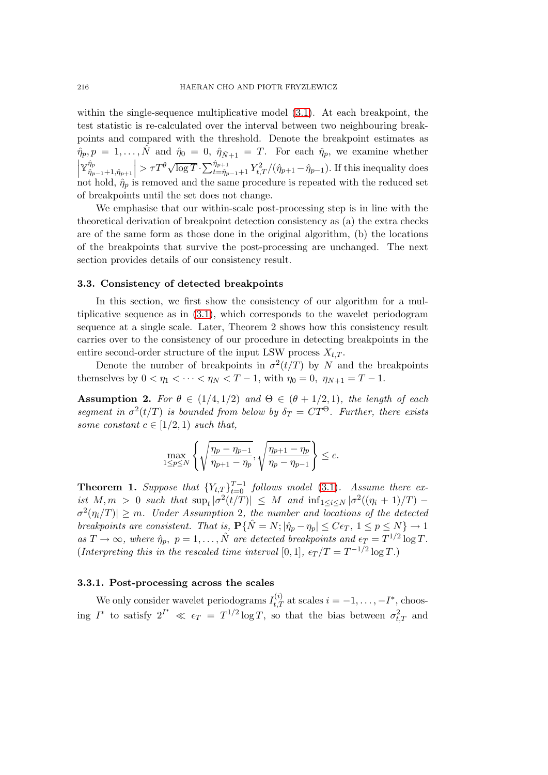within the single-sequence multiplicative model (3.1). At each breakpoint, the test statistic is re-calculated over the interval between two neighbouring breakpoints and compared with the threshold. Denote the breakpoint estimates as  $\hat{\eta}_p, p = 1, \ldots, \hat{N}$  and  $\hat{\eta}_0 = 0, \ \hat{\eta}_{\hat{N}+1} = T$ . For [each](#page-6-0)  $\hat{\eta}_p$ , we examine whether  $\Big\vert \mathbb{Y}^{\hat{\eta}_p}_{\hat{\eta}_p}$  $\hat{\eta}_{p-1}$ +1*,* $\hat{\eta}_{p+1}$  $\left| > \tau T^{\theta} \sqrt{\log T} \cdot \sum_{t=\hat{\eta}_{p-1}+1}^{\hat{\eta}_{p+1}} Y_{t,T}^2 / (\hat{\eta}_{p+1} - \hat{\eta}_{p-1}).$  If this inequality does not hold,  $\hat{\eta}_p$  is removed and the same procedure is repeated with the reduced set of breakpoints until the set does not change.

We emphasise that our within-scale post-processing step is in line with the theoretical derivation of breakpoint detection consistency as (a) the extra checks are of the same form as those done in the original algorithm, (b) the locations of the breakpoints that survive the post-processing are unchanged. The next section provides details of our consistency result.

#### **3.3. Consistency of detected breakpoints**

In this section, we first show the consistency of our algorithm for a multiplicative sequence as in (3.1), which corresponds to the wavelet periodogram sequence at a single scale. Later, Theorem 2 shows how this consistency result carries over to the consistency of our procedure in detecting breakpoints in the entire second-order structure of the input LSW process  $X_{t,T}$ .

Denote the number o[f br](#page-6-0)eakpoints in  $\sigma^2(t/T)$  by *N* and the breakpoints themselves by  $0 < \eta_1 < \cdots < \eta_N < T-1$ , with  $\eta_0 = 0$ ,  $\eta_{N+1} = T-1$ .

**Assumption 2.** For  $\theta \in (1/4, 1/2)$  and  $\Theta \in (\theta + 1/2, 1)$ *, the length of each segment in*  $\sigma^2(t/T)$  *is bounded from below by*  $\delta_T = CT^{\Theta}$ *. Further, there exists some constant*  $c \in [1/2, 1)$  *such that,* 

$$
\max_{1 \le p \le N} \left\{ \sqrt{\frac{\eta_p - \eta_{p-1}}{\eta_{p+1} - \eta_p}}, \sqrt{\frac{\eta_{p+1} - \eta_p}{\eta_p - \eta_{p-1}}} \right\} \le c.
$$

**Theorem 1.** *Suppose that*  ${Y_{t,T}}_{t=0}^{T-1}$  *follows model* (3.1)*. Assume there exist*  $M, m > 0$  *such that*  $\sup_t |\sigma^2(t/T)| \leq M$  *and*  $\inf_{1 \leq i \leq N} |\sigma^2((\eta_i + 1)/T)| \sigma^2(\eta_i/T)| \geq m$ *. Under Assumption* 2*, the number and locations of the detected breakpoints are consistent. That is,*  $P\{\hat{N} = N; |\hat{\eta}_p - \eta_p| \le C\epsilon_T, 1 \le p \le N\} \to 1$  $as T \to \infty$ , where  $\hat{\eta}_p$ ,  $p = 1, \ldots, \hat{N}$  are detected breakpo[ints](#page-6-0) and  $\epsilon_T = T^{1/2} \log T$ . (*Interpreting this in the rescaled time interval* [0, 1],  $\epsilon_T/T = T^{-1/2} \log T$ *.*)

# **3.3.1. Post-processing across the scales**

We only consider wavelet periodograms  $I_{t,T}^{(i)}$  at scales  $i = -1, \ldots, -I^*$ , choosing  $I^*$  to satisfy  $2^{I^*} \ll \epsilon_T = T^{1/2} \log T$ , so that the bias between  $\sigma_{t,T}^2$  and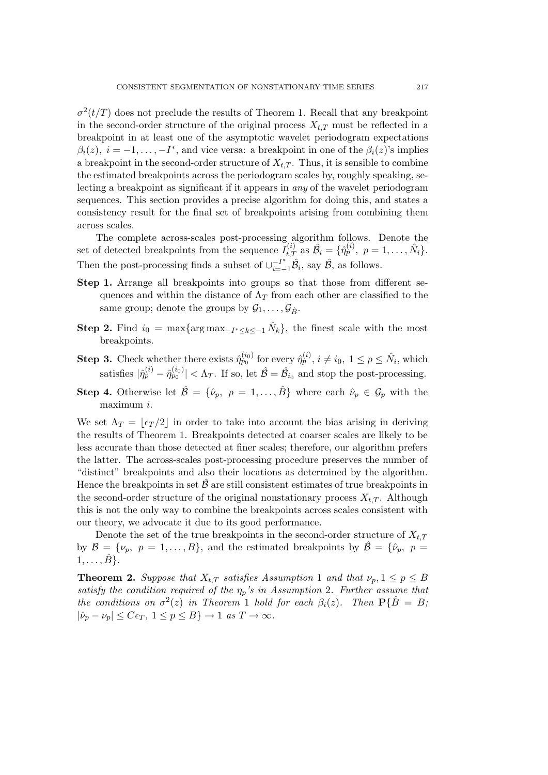$\sigma^2(t/T)$  does not preclude the results of Theorem 1. Recall that any breakpoint in the second-order structure of the original process  $X_{t,T}$  must be reflected in a breakpoint in at least one of the asymptotic wavelet periodogram expectations  $\beta_i(z)$ ,  $i = -1, \ldots, -I^*$ , and vice versa: a breakpoint in one of the  $\beta_i(z)$ 's implies a breakpoint in the second-order structure of  $X_{t,T}$ . Thus, it is sensible to combine the estimated breakpoints across the periodogram scales by, roughly speaking, selecting a breakpoint as significant if it appears in *any* of the wavelet periodogram sequences. This section provides a precise algorithm for doing this, and states a consistency result for the final set of breakpoints arising from combining them across scales.

The complete across-scales post-processing algorithm follows. Denote the set of detected breakpoints from the sequence  $\tilde{I}_{t,T}^{(i)}$  as  $\hat{\mathcal{B}}_i = \{\hat{\eta}_p^{(i)}, p = 1, \ldots, \hat{N}_i\}.$ Then the post-processing finds a subset of  $\cup_{i=-1}^{-1} \hat{\mathcal{B}}_i$ , say  $\hat{\mathcal{B}}$ , as follows.

- **Step 1.** Arrange all breakpoints into groups so that those from different sequences and within the distance of  $\Lambda_T$  from each other are classified to the same group; denote the groups by  $\mathcal{G}_1, \ldots, \mathcal{G}_{\hat{B}}$ .
- **Step 2.** Find  $i_0 = \max\{\arg\max_{-I^* \leq k \leq -1} \hat{N}_k\}$ , the finest scale with the most breakpoints.
- **Step 3.** Check whether there exists  $\hat{\eta}_{p_0}^{(i_0)}$  for every  $\hat{\eta}_{p}^{(i)}$ ,  $i \neq i_0, 1 \leq p \leq \hat{N}_i$ , which satisfies  $|\hat{\eta}_p^{(i)} - \hat{\eta}_{p_0}^{(i_0)}| < \Lambda_T$ . If so, let  $\hat{\mathcal{B}} = \hat{\mathcal{B}}_{i_0}$  and stop the post-processing.
- **Step 4.** Otherwise let  $\hat{\mathcal{B}} = {\hat{\nu}_p, p = 1, ..., \hat{B}}$  where each  $\hat{\nu}_p \in \mathcal{G}_p$  with the maximum *i*.

We set  $\Lambda_T = |\epsilon_T/2|$  in order to take into account the bias arising in deriving the results of Theorem 1. Breakpoints detected at coarser scales are likely to be less accurate than those detected at finer scales; therefore, our algorithm prefers the latter. The across-scales post-processing procedure preserves the number of "distinct" breakpoints and also their locations as determined by the algorithm. Hence the breakpoints in set  $\hat{\beta}$  are still consistent estimates of true breakpoints in the second-order structure of the original nonstationary process  $X_{t,T}$ . Although this is not the only way to combine the breakpoints across scales consistent with our theory, we advocate it due to its good performance.

Denote the set of the true breakpoints in the second-order structure of  $X_{t,T}$ by  $\mathcal{B} = {\nu_p, p = 1, ..., B}$ , and the estimated breakpoints by  $\mathcal{B} = {\hat{\nu}_p, p =}$  $1, \ldots, \hat{B}$ .

**Theorem 2.** Suppose that  $X_{t,T}$  satisfies Assumption 1 and that  $\nu_p, 1 \leq p \leq B$ *satisfy the condition required of the ηp's in Assumption* 2*. Further assume that the conditions on*  $\sigma^2(z)$  *in Theorem* 1 *hold for each*  $\beta_i(z)$ *. Then*  $P\{\hat{B} = B\}$ *i*  $|\hat{\nu}_p - \nu_p| \le C\epsilon_T$ ,  $1 \le p \le B$ } → 1 *as*  $T \to \infty$ .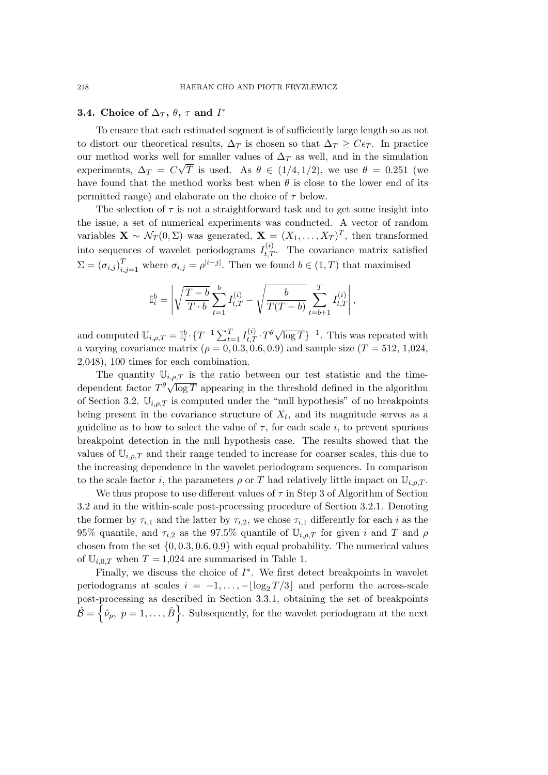# **3.4.** Choice of  $\Delta_T$ ,  $\theta$ ,  $\tau$  and  $I^*$

To ensure that each estimated segment is of sufficiently large length so as not to distort our theoretical results,  $\Delta_T$  is chosen so that  $\Delta_T \geq C \epsilon_T$ . In practice our method works well for smaller values of  $\Delta_T$  as well, and in the simulation experiments,  $\Delta_T = C\sqrt{T}$  is used. As  $\theta \in (1/4, 1/2)$ , we use  $\theta = 0.251$  (we have found that the method works best when  $\theta$  is close to the lower end of its permitted range) and elaborate on the choice of *τ* below.

The selection of  $\tau$  is not a straightforward task and to get some insight into the issue, a set of numerical experiments was conducted. A vector of random variables  $\mathbf{X} \sim \mathcal{N}_T(0, \Sigma)$  was generated,  $\mathbf{X} = (X_1, \dots, X_T)^T$ , then transformed into sequences of wavelet periodograms  $I_{t,T}^{(i)}$ . The covariance matrix satisfied  $\Sigma = (\sigma_{i,j})_{i,j=1}^T$  where  $\sigma_{i,j} = \rho^{|i-j|}$ . Then we found  $b \in (1,T)$  that maximised

$$
\mathbb{I}_{i}^{b}=\left|\sqrt{\frac{T-b}{T\cdot b}}\sum_{t=1}^{b}I_{t,T}^{(i)}-\sqrt{\frac{b}{T(T-b)}}\sum_{t=b+1}^{T}I_{t,T}^{(i)}\right|,
$$

and computed  $\mathbb{U}_{i,\rho,T} = \mathbb{I}_i^b \cdot \{T^{-1} \sum_{t=1}^T I_{t,T}^{(i)} \cdot T^{\theta} \sqrt{\log T}\}^{-1}$ . This was repeated with a varying covariance matrix ( $\rho = 0, 0.3, 0.6, 0.9$ ) and sample size ( $T = 512, 1,024$ , 2,048), 100 times for each combination.

The quantity  $\mathbb{U}_{i,\rho,T}$  is the ratio between our test statistic and the timedependent factor  $T^{\theta} \sqrt{\log T}$  appearing in the threshold defined in the algorithm of Section 3.2.  $\mathbb{U}_{i,\rho,T}$  is computed under the "null hypothesis" of no breakpoints being present in the covariance structure of  $X_t$ , and its magnitude serves as a guideline as to how to select the value of  $\tau$ , for each scale *i*, to prevent spurious breakpoint detection in the null hypothesis case. The results showed that the values of  $\mathbb{U}_{i,\rho,T}$  and their range tended to increase for coarser scales, this due to the increasing dependence in the wavelet periodogram sequences. In comparison to the scale factor *i*, the parameters  $\rho$  or *T* had relatively little impact on  $\mathbb{U}_{i,o,T}$ .

We thus propose to use different values of *τ* in Step 3 of Algorithm of Section 3.2 and in the within-scale post-processing procedure of Section 3.2.1. Denoting the former by  $\tau_{i,1}$  and the latter by  $\tau_{i,2}$ , we chose  $\tau_{i,1}$  differently for each *i* as the 95% quantile, and  $\tau_{i,2}$  as the 97.5% quantile of  $\mathbb{U}_{i,\rho,T}$  for given *i* and *T* and  $\rho$ chosen from the set *{*0*,* 0*.*3*,* 0*.*6*,* 0*.*9*}* with equal probability. The numerical values of  $\mathbb{U}_{i,0,T}$  when  $T = 1,024$  are summarised in Table 1.

Finally, we discuss the choice of *I ∗* . We first detect breakpoints in wavelet periodograms at scales  $i = -1, \ldots, -\log_2 T/3$  and perform the across-scale post-processing as described in Section 3.3.1, obtaining the set of breakpoints  $\hat{\mathcal{B}} = \left\{ \hat{\nu}_p, \ p = 1, \ldots, \hat{B} \right\}$ . Subsequently, for the wavelet periodogram at the next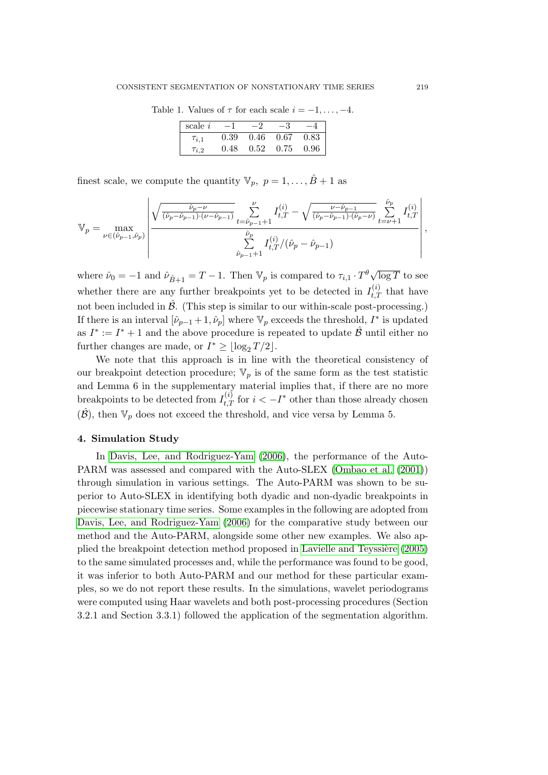Table 1. Values of  $\tau$  for each scale  $i = -1, \ldots, -4$ .

| scale <i>i</i> |      |          |      |      |
|----------------|------|----------|------|------|
| $\tau_{i,1}$   | 0.39 | $0.46\,$ | 0.67 | 0.83 |
| $\tau_{i,2}$   | 0.48 | $0.52\,$ | 0.75 | 0.96 |

finest scale, we compute the quantity  $\mathbb{V}_p$ ,  $p = 1, \ldots, \hat{B} + 1$  as

$$
\mathbb{V}_{p} = \max_{\nu \in (\hat{\nu}_{p-1}, \hat{\nu}_{p})} \left| \frac{\sqrt{\frac{\hat{\nu}_{p} - \nu}{(\hat{\nu}_{p} - \hat{\nu}_{p-1})(\nu - \hat{\nu}_{p-1})}} \sum_{t = \hat{\nu}_{p-1} + 1}^{\nu} I_{t, T}^{(i)} - \sqrt{\frac{\nu - \hat{\nu}_{p-1}}{(\hat{\nu}_{p} - \hat{\nu}_{p-1})(\hat{\nu}_{p} - \nu)}} \sum_{t = \nu + 1}^{\hat{\nu}_{p}} I_{t, T}^{(i)} \right|}{\sum_{\hat{\nu}_{p-1} + 1}^{\hat{\nu}_{p}} I_{t, T}^{(i)} / (\hat{\nu}_{p} - \hat{\nu}_{p-1})} \right|,
$$

where  $\hat{\nu}_0 = -1$  and  $\hat{\nu}_{\hat{B}+1} = T - 1$ . Then  $\mathbb{V}_p$  is compared to  $\tau_{i,1} \cdot T^{\theta} \sqrt{\log T}$  to see whether there are any further breakpoints yet to be detected in  $I_{t,T}^{(i)}$  that have not been included in  $\hat{\beta}$ . (This step is similar to our within-scale post-processing.) If there is an interval  $[\hat{\nu}_{p-1} + 1, \hat{\nu}_p]$  where  $\mathbb{V}_p$  exceeds the threshold,  $I^*$  is updated as  $I^* := I^* + 1$  and the above procedure is repeated to update  $\hat{\mathcal{B}}$  until either no further changes are made, or  $I^* \geq \lfloor \log_2 T / 2 \rfloor$ .

We note that this approach is in line with the theoretical consistency of our breakpoint detection procedure;  $\mathbb{V}_p$  is of the same form as the test statistic and Lemma 6 in the supplementary material implies that, if there are no more breakpoints to be detected from  $I_{t,T}^{(i)}$  for  $i < -I^*$  other than those already chosen  $(\hat{\mathcal{B}})$ , then  $\mathbb{V}_p$  does not exceed the threshold, and vice versa by Lemma 5.

#### **4. Simulation Study**

In Davis, Lee, and Rodriguez-Yam (2006), the performance of the Auto-PARM was assessed and compared with the Auto-SLEX (Ombao et al. (2001)) through simulation in various settings. The Auto-PARM was shown to be superior to Auto-SLEX in identifying both [dyadi](#page-21-0)c and non-dyadic breakpoints in piecew[ise stationary time series. Some exa](#page-21-0)mples in the follo[wing are adopted from](#page-22-0) Davis, Lee, and Rodriguez-Yam (2006) for the comparative study between our method and the Auto-PARM, alongside some other new examples. We also applied the breakpoint detection method proposed in Lavielle and Teyssière (2005) [to the same simulated processes and, wh](#page-21-0)ile the performance was found to be good, it was inferior to both Auto-PARM and our method for these particular examples, so we do not report these results. In the simulations, wavelet periodo[grams](#page-22-0) were computed using Haar wavelets and both post-[processing procedures \(S](#page-22-0)ection 3.2.1 and Section 3.3.1) followed the application of the segmentation algorithm.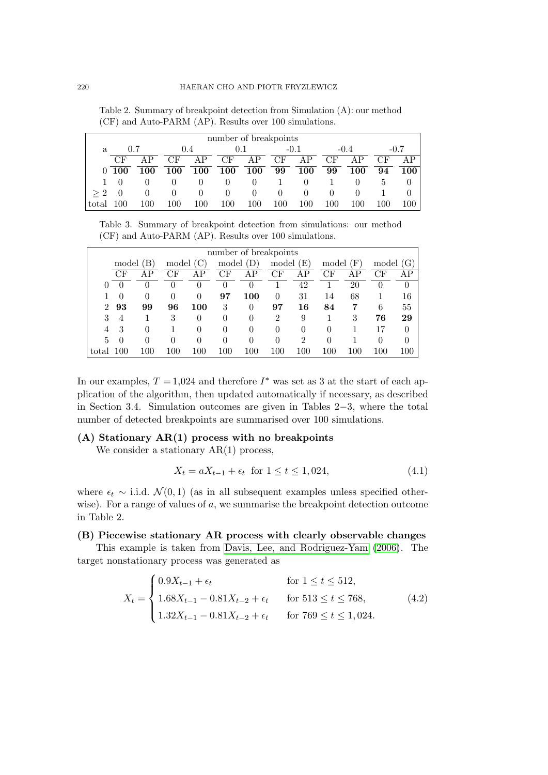<span id="page-13-0"></span>Table 2. Summary of breakpoint detection from Simulation (A): our method (CF) and Auto-PARM (AP). Results over 100 simulations.

| number of breakpoints |            |         |     |     |     |         |          |          |         |     |              |     |
|-----------------------|------------|---------|-----|-----|-----|---------|----------|----------|---------|-----|--------------|-----|
| a                     | 0.7        |         | 0.4 |     | 0.1 |         | $-0.1$   |          | $-0.4$  |     | $-0.7$       |     |
|                       | CF         | AP      | CF  | AP  | CF  | AP      | CF.      | AΡ       | CF      | AP  | CF           |     |
| $\Omega$              | <b>100</b> | 100     | 100 | 100 | 100 | 100     | 99       | 100      | 99      | 100 | 94           | 100 |
|                       |            |         |     |     |     |         |          | $\theta$ |         |     | <sub>6</sub> |     |
| >2                    |            |         |     |     |     |         | $\theta$ | $\theta$ |         |     |              |     |
| total                 |            | $100\,$ | 100 | 100 | 100 | $100\,$ | $100\,$  | $100\,$  | $100\,$ | 100 | .00          |     |

Table 3. Summary of breakpoint detection from simulations: our method (CF) and Auto-PARM (AP). Results over 100 simulations.

| number of breakpoints |          |          |     |          |          |                       |                |                |          |            |     |          |
|-----------------------|----------|----------|-----|----------|----------|-----------------------|----------------|----------------|----------|------------|-----|----------|
| model                 |          | model    |     | model    |          | $\mathbf{E}$<br>model |                | model          |          | model<br>G |     |          |
|                       | CF       | AP       | CF  |          | $\rm CF$ | AP                    | $\rm CF$       | ΑP             | CF       | AP         | CF  | AΡ       |
| $_{0}$                | $\Box$   | 0        |     | O        |          | 0                     |                | 42             |          | 20         |     | $\theta$ |
|                       | $\Omega$ | $\theta$ | 0   | $\theta$ | 97       | 100                   | $\theta$       | 31             | 14       | 68         |     | 16       |
| $\mathfrak{D}$        | 93       | 99       | 96  | 100      | 3        | 0                     | 97             | 16             | 84       | 7          | 6   | 55       |
| 3                     | 4        |          | 3   | 0        | $\theta$ | 0                     | $\overline{2}$ | 9              |          | 3          | 76  | 29       |
| 4                     | 3        | $\Omega$ |     | 0        | $\theta$ | $\theta$              | $\theta$       | $\theta$       | $\theta$ |            | 17  | 0        |
| 5                     | $\Omega$ | ∩        | 0   | 0        | 0        | $\left( \right)$      | $\theta$       | $\overline{2}$ | 0        |            | 0   | 0        |
| total                 | 00       | 100      | 100 | 100      | 100      | 100                   | 100            | 100            | 100      | 100        | 100 | 100      |

In our examples,  $T = 1.024$  and therefore  $I^*$  was set as 3 at the start of each application of the algorithm, then updated automatically if necessary, as described in Section 3.4. Simulation outcomes are given in Tables 2*−*3, where the total number of detected breakpoints are summarised over 100 simulations.

## **(A) Stationary AR(1) process with no breakpoints**

We consider a stationary  $AR(1)$  process,

$$
X_t = aX_{t-1} + \epsilon_t \text{ for } 1 \le t \le 1,024,
$$
\n(4.1)

where  $\epsilon_t \sim$  i.i.d.  $\mathcal{N}(0,1)$  (as in all subsequent examples unless specified otherwise). For a range of values of a, we summarise the breakpoint detection outcome in Table 2.

#### **(B) Piecewise stationary AR process with clearly observable changes**

This example is taken from Davis, Lee, and Rodriguez-Yam (2006). The target nonstationary process was generated as

$$
X_{t} = \begin{cases} 0.9X_{t-1} + \epsilon_{t} & \text{for } 1 \leq t \leq 512, \\ 1.68X_{t-1} - 0.81X_{t-2} + \epsilon_{t} & \text{for } 513 \leq t \leq 768, \\ 1.32X_{t-1} - 0.81X_{t-2} + \epsilon_{t} & \text{for } 769 \leq t \leq 1,024. \end{cases}
$$
(4.2)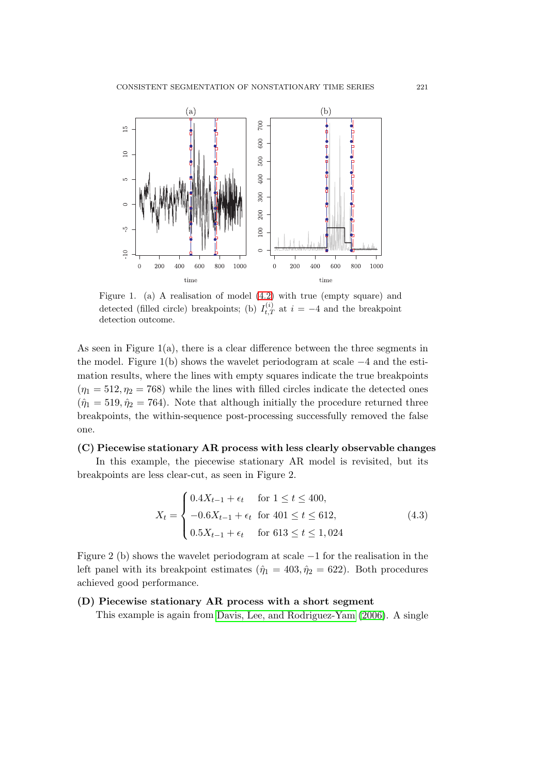

Figure 1. (a) A realisation of model (4.2) with true (empty square) and detected (filled circle) breakpoints; (b)  $I_{t,T}^{(i)}$  at  $i = -4$  and the breakpoint detection outcome.

As seen in Figure  $1(a)$ , there is a clear di[ffer](#page-13-0)ence between the three segments in the model. Figure 1(b) shows the wavelet periodogram at scale *−*4 and the estimation results, where the lines with empty squares indicate the true breakpoints  $(\eta_1 = 512, \eta_2 = 768)$  while the lines with filled circles indicate the detected ones  $(\hat{\eta}_1 = 519, \hat{\eta}_2 = 764)$ . Note that although initially the procedure returned three breakpoints, the within-sequence post-processing successfully removed the false one.

## **(C) Piecewise stationary AR process with less clearly observable changes**

In this example, the piecewise stationary AR model is revisited, but its breakpoints are less clear-cut, as seen in Figure 2.

$$
X_t = \begin{cases} 0.4X_{t-1} + \epsilon_t & \text{for } 1 \le t \le 400, \\ -0.6X_{t-1} + \epsilon_t & \text{for } 401 \le t \le 612, \\ 0.5X_{t-1} + \epsilon_t & \text{for } 613 \le t \le 1,024 \end{cases}
$$
(4.3)

Figure 2 (b) shows the wavelet periodogram at scale *−*1 for the realisation in the left panel with its breakpoint estimates ( $\hat{\eta}_1 = 403, \hat{\eta}_2 = 622$ ). Both procedures achieved good performance.

## **(D) Piecewise stationary AR process with a short segment**

This example is again from Davis, Lee, and Rodriguez-Yam (2006). A single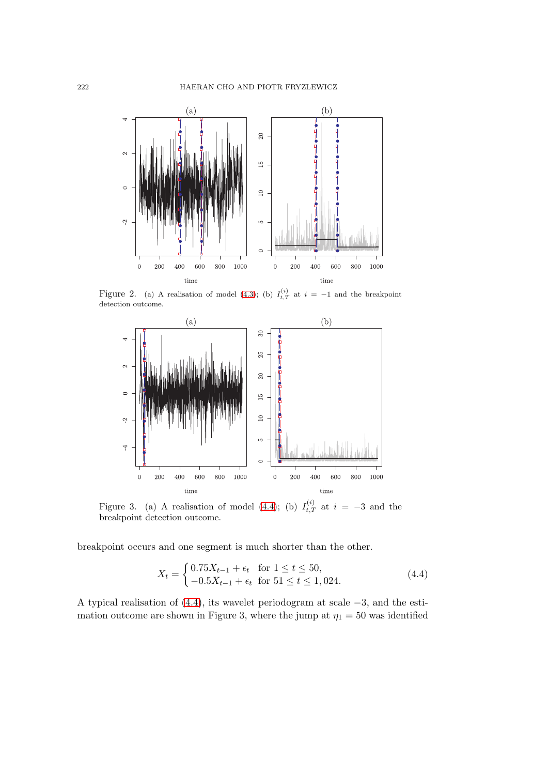

Figure 2. (a) A realisation of model (4.3); (b)  $I_{t,T}^{(i)}$  at  $i = -1$  and the breakpoint detection outcome.



Figure 3. (a) A realisation of model (4.4); (b)  $I_{t,T}^{(i)}$  at  $i = -3$  and the breakpoint detection outcome.

breakpoint occurs and one segment is much shorter than the other.

$$
X_t = \begin{cases} 0.75X_{t-1} + \epsilon_t & \text{for } 1 \le t \le 50, \\ -0.5X_{t-1} + \epsilon_t & \text{for } 51 \le t \le 1,024. \end{cases}
$$
(4.4)

A typical realisation of (4.4), its wavelet periodogram at scale *−*3, and the estimation outcome are shown in Figure 3, where the jump at  $\eta_1 = 50$  was identified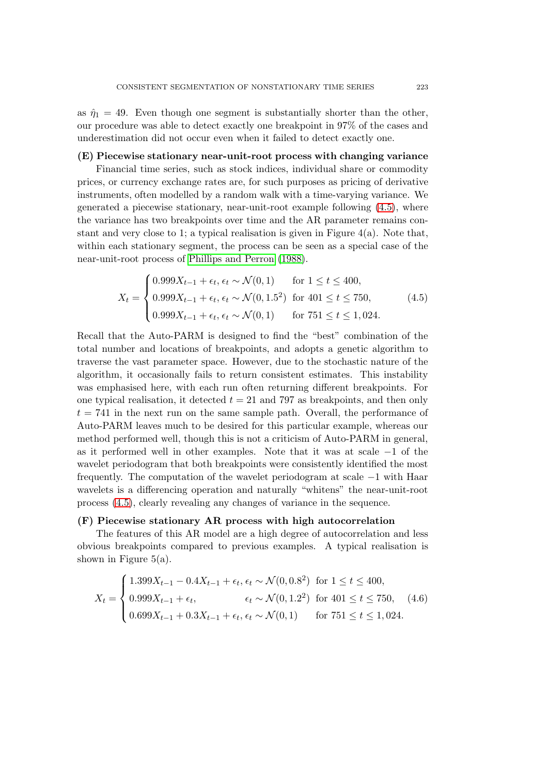<span id="page-16-0"></span>as  $\hat{\eta}_1 = 49$ . Even though one segment is substantially shorter than the other, our procedure was able to detect exactly one breakpoint in 97% of the cases and underestimation did not occur even when it failed to detect exactly one.

## **(E) Piecewise stationary near-unit-root process with changing variance**

Financial time series, such as stock indices, individual share or commodity prices, or currency exchange rates are, for such purposes as pricing of derivative instruments, often modelled by a random walk with a time-varying variance. We generated a piecewise stationary, near-unit-root example following (4.5), where the variance has two breakpoints over time and the AR parameter remains constant and very close to 1; a typical realisation is given in Figure  $4(a)$ . Note that, within each stationary segment, the process can be seen as a special case of the near-unit-root process of Phillips and Perron (1988).

$$
X_t = \begin{cases} 0.999X_{t-1} + \epsilon_t, \epsilon_t \sim \mathcal{N}(0, 1) & \text{for } 1 \le t \le 400, \\ 0.999X_{t-1} + \epsilon_t, \epsilon_t \sim \mathcal{N}(0, 1.5^2) & \text{for } 401 \le t \le 750, \\ 0.999X_{t-1} + \epsilon_t, \epsilon_t \sim \mathcal{N}(0, 1) & \text{for } 751 \le t \le 1,024. \end{cases} \tag{4.5}
$$

Recall that the Auto-PARM is designed to find the "best" combination of the total number and locations of breakpoints, and adopts a genetic algorithm to traverse the vast parameter space. However, due to the stochastic nature of the algorithm, it occasionally fails to return consistent estimates. This instability was emphasised here, with each run often returning different breakpoints. For one typical realisation, it detected  $t = 21$  and 797 as breakpoints, and then only  $t = 741$  in the next run on the same sample path. Overall, the performance of Auto-PARM leaves much to be desired for this particular example, whereas our method performed well, though this is not a criticism of Auto-PARM in general, as it performed well in other examples. Note that it was at scale *−*1 of the wavelet periodogram that both breakpoints were consistently identified the most frequently. The computation of the wavelet periodogram at scale *−*1 with Haar wavelets is a differencing operation and naturally "whitens" the near-unit-root process (4.5), clearly revealing any changes of variance in the sequence.

#### **(F) Piecewise stationary AR process with high autocorrelation**

The features of this AR model are a high degree of autocorrelation and less obvious breakpoints compared to previous examples. A typical realisation is shown in Figure  $5(a)$ .

$$
X_t = \begin{cases} 1.399X_{t-1} - 0.4X_{t-1} + \epsilon_t, \epsilon_t \sim \mathcal{N}(0, 0.8^2) & \text{for } 1 \le t \le 400, \\ 0.999X_{t-1} + \epsilon_t, & \epsilon_t \sim \mathcal{N}(0, 1.2^2) & \text{for } 401 \le t \le 750, \\ 0.699X_{t-1} + 0.3X_{t-1} + \epsilon_t, \epsilon_t \sim \mathcal{N}(0, 1) & \text{for } 751 \le t \le 1,024. \end{cases}
$$
(4.6)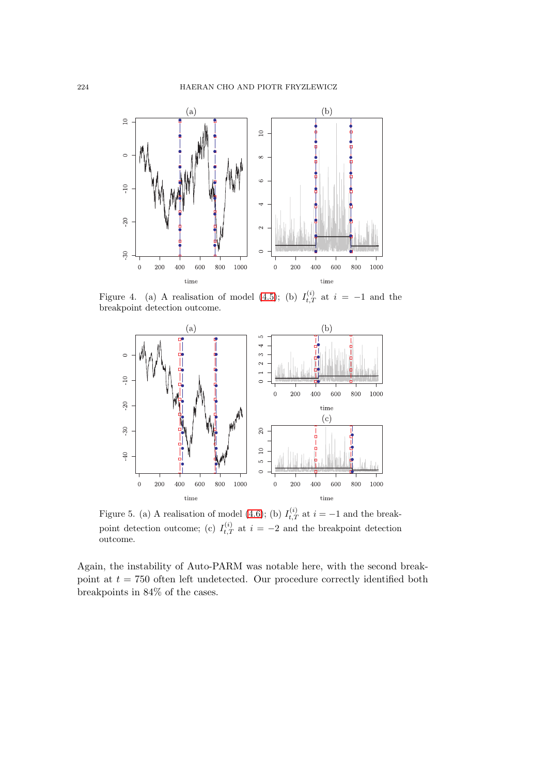

Figure 4. (a) A realisation of model (4.5); (b)  $I_{t,T}^{(i)}$  at  $i = -1$  and the breakpoint detection outcome.



Figure 5. (a) A realisation of model (4.6); (b)  $I_{t,T}^{(i)}$  at  $i = -1$  and the breakpoint detection outcome; (c)  $I_{t,T}^{(i)}$  at  $i = -2$  and the breakpoint detection outcome.

Again, the instability of Auto-PARM [was](#page-16-0) notable here, with the second breakpoint at  $t = 750$  often left undetected. Our procedure correctly identified both breakpoints in 84% of the cases.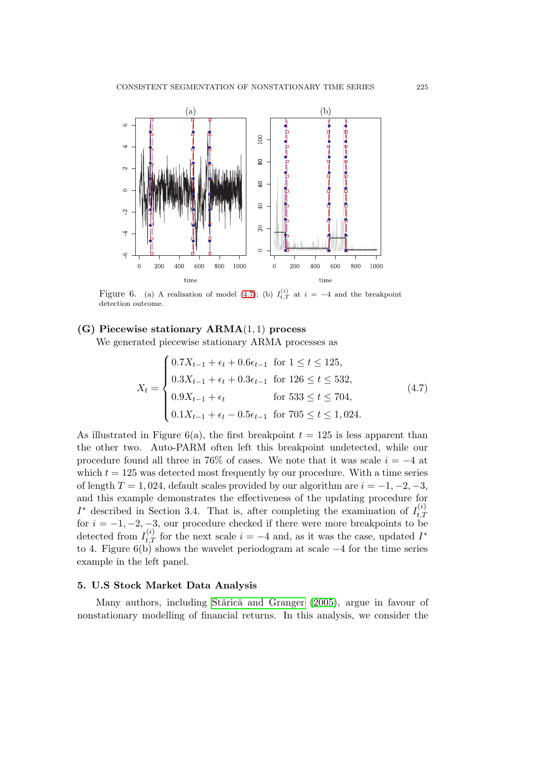

Figure 6. (a) A realisation of model (4.7); (b)  $I_{t,T}^{(i)}$  at  $i = -4$  and the breakpoint detection outcome.

# **(G) Piecewise stationary ARMA**(1*,* 1) **process**

We generated piecewise stationary ARMA processes as

$$
X_{t} = \begin{cases} 0.7X_{t-1} + \epsilon_{t} + 0.6\epsilon_{t-1} & \text{for } 1 \leq t \leq 125, \\ 0.3X_{t-1} + \epsilon_{t} + 0.3\epsilon_{t-1} & \text{for } 126 \leq t \leq 532, \\ 0.9X_{t-1} + \epsilon_{t} & \text{for } 533 \leq t \leq 704, \\ 0.1X_{t-1} + \epsilon_{t} - 0.5\epsilon_{t-1} & \text{for } 705 \leq t \leq 1,024. \end{cases} \tag{4.7}
$$

As illustrated in Figure  $6(a)$ , the first breakpoint  $t = 125$  is less apparent than the other two. Auto-PARM often left this breakpoint undetected, while our procedure found all three in 76% of cases. We note that it was scale *i* = *−*4 at which  $t = 125$  was detected most frequently by our procedure. With a time series of length  $T = 1,024$ , default scales provided by our algorithm are  $i = -1, -2, -3$ , and this example demonstrates the effectiveness of the updating procedure for *I*<sup>\*</sup> described in Section 3.4. That is, after completing the examination of  $I_{tT}^{(i)}$ *t,T* for  $i = -1, -2, -3$ , our procedure checked if there were more breakpoints to be detected from  $I_{t,T}^{(i)}$  for the next scale  $i = -4$  and, as it was the case, updated  $I^*$ to 4. Figure 6(b) shows the wavelet periodogram at scale *−*4 for the time series example in the left panel.

## **5. U.S Stock Market Data Analysis**

Many authors, including Stărică and Granger (2005), argue in favour of nonstationary modelling of financial returns. In this analysis, we consider the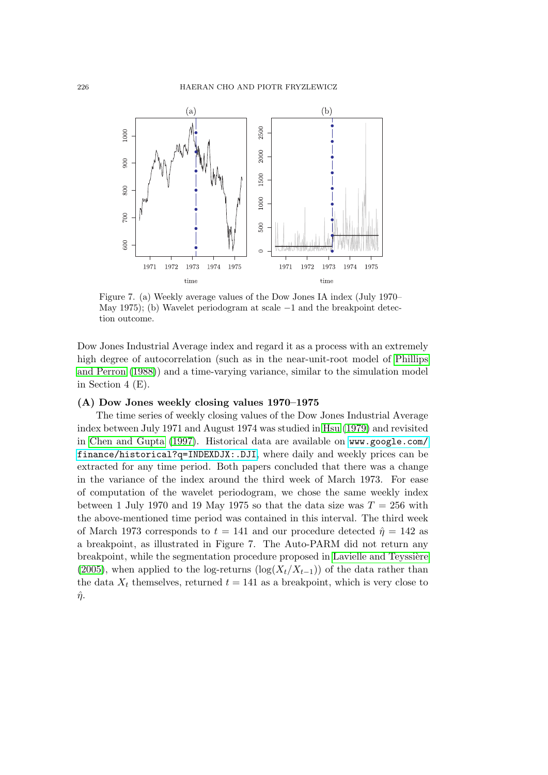

Figure 7. (a) Weekly average values of the Dow Jones IA index (July 1970– May 1975); (b) Wavelet periodogram at scale *−*1 and the breakpoint detection outcome.

Dow Jones Industrial Average index and regard it as a process with an extremely high degree of autocorrelation (such as in the near-unit-root model of Phillips and Perron (1988)) and a time-varying variance, similar to the simulation model in Section 4 (E).

#### **(A) Dow Jones weekly closing values 1970–1975**

[The time serie](#page-22-0)s of weekly closing values of the Dow Jones Industrial [Average](#page-22-0) index between July 1971 and August 1974 was studied in Hsu (1979) and revisited in Chen and Gupta (1997). Historical data are available on www.google.com/ finance/historical?q=INDEXDJX:.DJI, where daily and weekly prices can be extracted for any time period. Both papers concluded that there was a change in the variance of the index around the third week o[f March 19](#page-21-0)73. For ease of [computation of the wav](#page-21-0)elet periodogram, we chose the [same weekly index](www.google.com/finance/historical?q=INDEXDJX:.DJI) [between 1 July 1970 and 19 May 1975 so](www.google.com/finance/historical?q=INDEXDJX:.DJI) that the data size was  $T = 256$  with the above-mentioned time period was contained in this interval. The third week of March 1973 corresponds to  $t = 141$  and our procedure detected  $\hat{\eta} = 142$  as a breakpoint, as illustrated in Figure 7. The Auto-PARM did not return any breakpoint, while the segmentation procedure proposed in Lavielle and Teyssière (2005), when applied to the log-returns (log( $X_t/X_{t-1}$ )) of the data rather than the data  $X_t$  themselves, returned  $t = 141$  as a breakpoint, which is very close to  $\hat{\eta}$ .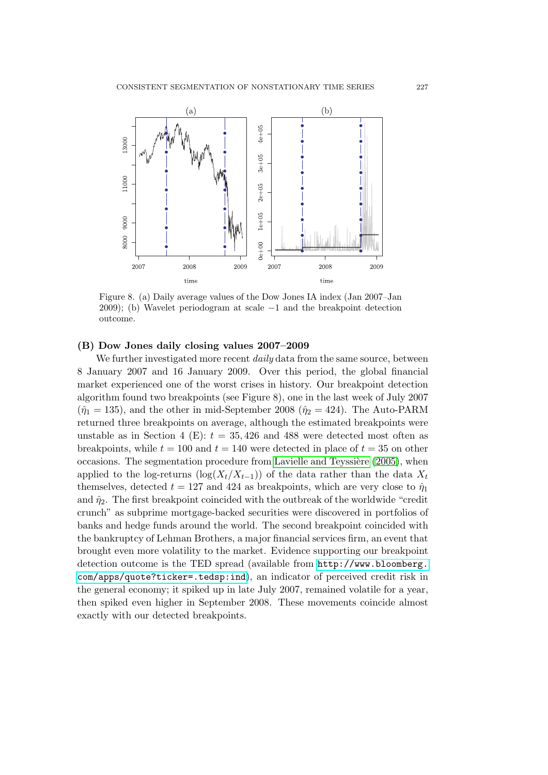

Figure 8. (a) Daily average values of the Dow Jones IA index (Jan 2007–Jan 2009); (b) Wavelet periodogram at scale *−*1 and the breakpoint detection outcome.

## **(B) Dow Jones daily closing values 2007–2009**

We further investigated more recent *daily* data from the same source, between 8 January 2007 and 16 January 2009. Over this period, the global financial market experienced one of the worst crises in history. Our breakpoint detection algorithm found two breakpoints (see Figure 8), one in the last week of July 2007  $(\hat{\eta}_1 = 135)$ , and the other in mid-September 2008 ( $\hat{\eta}_2 = 424$ ). The Auto-PARM returned three breakpoints on average, although the estimated breakpoints were unstable as in Section 4 (E):  $t = 35,426$  and 488 were detected most often as breakpoints, while  $t = 100$  and  $t = 140$  were detected in place of  $t = 35$  on other occasions. The segmentation procedure from Lavielle and Teyssière  $(2005)$ , when applied to the log-returns (log( $X_t/X_{t-1}$ )) of the data rather than the data  $X_t$ themselves, detected  $t = 127$  and 424 as breakpoints, which are very close to  $\hat{\eta}_1$ and  $\hat{\eta}_2$ . The first breakpoint coincided with the outbreak of the worldwide "credit" crunch" as subprime mortgage-backed secur[ities were discovered in portf](#page-22-0)olios of banks and hedge funds around the world. The second breakpoint coincided with the bankruptcy of Lehman Brothers, a major financial services firm, an event that brought even more volatility to the market. Evidence supporting our breakpoint detection outcome is the TED spread (available from http://www.bloomberg. com/apps/quote?ticker=.tedsp:ind), an indicator of perceived credit risk in the general economy; it spiked up in late July 2007, remained volatile for a year, then spiked even higher in September 2008. These m[ovements coincide almost](http://www.bloomberg.com/apps/quote?ticker=.tedsp:ind) [exactly with our detected breakpoints.](http://www.bloomberg.com/apps/quote?ticker=.tedsp:ind)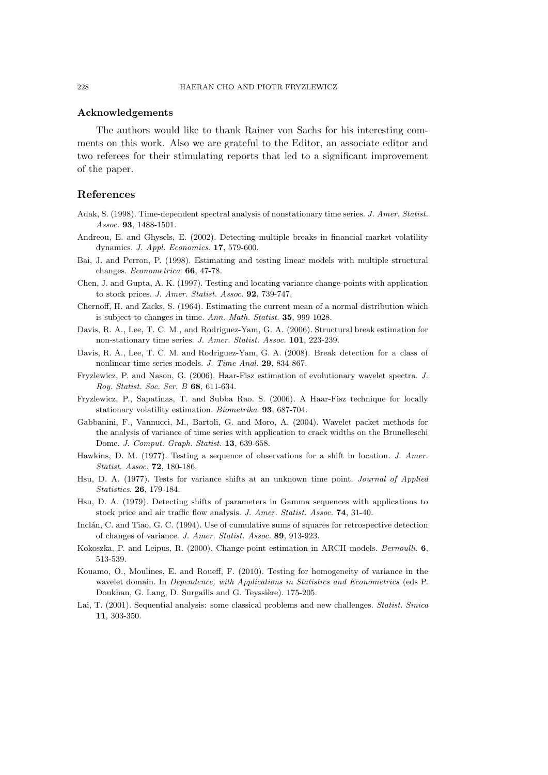## <span id="page-21-0"></span>**Acknowledgements**

The authors would like to thank Rainer von Sachs for his interesting comments on this work. Also we are grateful to the Editor, an associate editor and two referees for their stimulating reports that led to a significant improvement of the paper.

## **References**

- Adak, S. (1998). Time-dependent spectral analysis of nonstationary time series. *J. Amer. Statist. Assoc.* **93**, 1488-1501.
- Andreou, E. and Ghysels, E. (2002). Detecting multiple breaks in financial market volatility dynamics. *J. Appl. Economics*. **17**, 579-600.
- Bai, J. and Perron, P. (1998). Estimating and testing linear models with multiple structural changes. *Econometrica*. **66**, 47-78.
- Chen, J. and Gupta, A. K. (1997). Testing and locating variance change-points with application to stock prices. *J. Amer. Statist. Assoc.* **92**, 739-747.
- Chernoff, H. and Zacks, S. (1964). Estimating the current mean of a normal distribution which is subject to changes in time. *Ann. Math. Statist.* **35**, 999-1028.
- Davis, R. A., Lee, T. C. M., and Rodriguez-Yam, G. A. (2006). Structural break estimation for non-stationary time series. *J. Amer. Statist. Assoc.* **101**, 223-239.
- Davis, R. A., Lee, T. C. M. and Rodriguez-Yam, G. A. (2008). Break detection for a class of nonlinear time series models. *J. Time Anal.* **29**, 834-867.
- Fryzlewicz, P. and Nason, G. (2006). Haar-Fisz estimation of evolutionary wavelet spectra. *J. Roy. Statist. Soc. Ser. B* **68**, 611-634.
- Fryzlewicz, P., Sapatinas, T. and Subba Rao. S. (2006). A Haar-Fisz technique for locally stationary volatility estimation. *Biometrika*. **93**, 687-704.
- Gabbanini, F., Vannucci, M., Bartoli, G. and Moro, A. (2004). Wavelet packet methods for the analysis of variance of time series with application to crack widths on the Brunelleschi Dome. *J. Comput. Graph. Statist.* **13**, 639-658.
- Hawkins, D. M. (1977). Testing a sequence of observations for a shift in location. *J. Amer. Statist. Assoc.* **72**, 180-186.
- Hsu, D. A. (1977). Tests for variance shifts at an unknown time point. *Journal of Applied Statistics*. **26**, 179-184.
- Hsu, D. A. (1979). Detecting shifts of parameters in Gamma sequences with applications to stock price and air traffic flow analysis. *J. Amer. Statist. Assoc.* **74**, 31-40.
- Inclán, C. and Tiao, G. C. (1994). Use of cumulative sums of squares for retrospective detection of changes of variance. *J. Amer. Statist. Assoc.* **89**, 913-923.
- Kokoszka, P. and Leipus, R. (2000). Change-point estimation in ARCH models. *Bernoulli*. **6**, 513-539.
- Kouamo, O., Moulines, E. and Roueff, F. (2010). Testing for homogeneity of variance in the wavelet domain. In *Dependence, with Applications in Statistics and Econometrics* (eds P. Doukhan, G. Lang, D. Surgailis and G. Teyssière). 175-205.
- Lai, T. (2001). Sequential analysis: some classical problems and new challenges. *Statist. Sinica* **11**, 303-350.